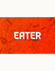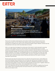## **EATER**

## The 17 Essential Mallorca **Restaurants**

Where to find classic fisherman's stew, spicy crispy duck, Argentinian gaucho-style beef pasties, and fresh citrus sorbet on the largest Balearic island

by Isabelle Kliger | Jan 18, 2022, 8:55am EST

Famous for its endless sandy beaches and hordes of selfie stick-wielding tourists (many sunburned to within an inch of their lives), Mallorca hasn't had the chance to develop a reputation for its gastronomy. But it turns out that the largest of Spain's Balearic Islands has had the potential to be a top-notch food destination all along.

With a rich agricultural heritage, the central part of the island is mainly devoted to growing crops like olives, grapes, citrus fruit, and almonds, which yield excellent olive oils, wines, preserves, and pastries. Pig farms produce meat for everyone's favorite Mallorcan delicacy, the tangy sobrassada sausage, while the gourmet salts from the southeastern plains have achieved global recognition. Fish stocks in the Mediterranean are not what they once were, but chefs make good use of local varieties including rockfish, razor fish, and gamba roja de Sóller (red shrimp), used in dishes like sopes de peix Mallorquines (Mallorcan fish soup) or its Ibizan equivalent, bullit de peix.

Recent years have seen the island evolve into a favorite among food lovers. Led by Mallorcan slow food trailblazer Maria Solivellas of Ca na Toneta, top national and homegrown chefs are serving up tantalizing plates of seasonal food made from ingredients produced on the island and enhanced by global culinary influences left by decades of mass tourism. Together, Mallorca's restaurants are fashioning a slower, more sustainable form of tourism.

From rural restaurants serving contemporary takes on classic recipes to neighborhood haunts with creative menus inspired by Asian and Latin American cuisine, the best restaurants in Mallorca are ready to wow.